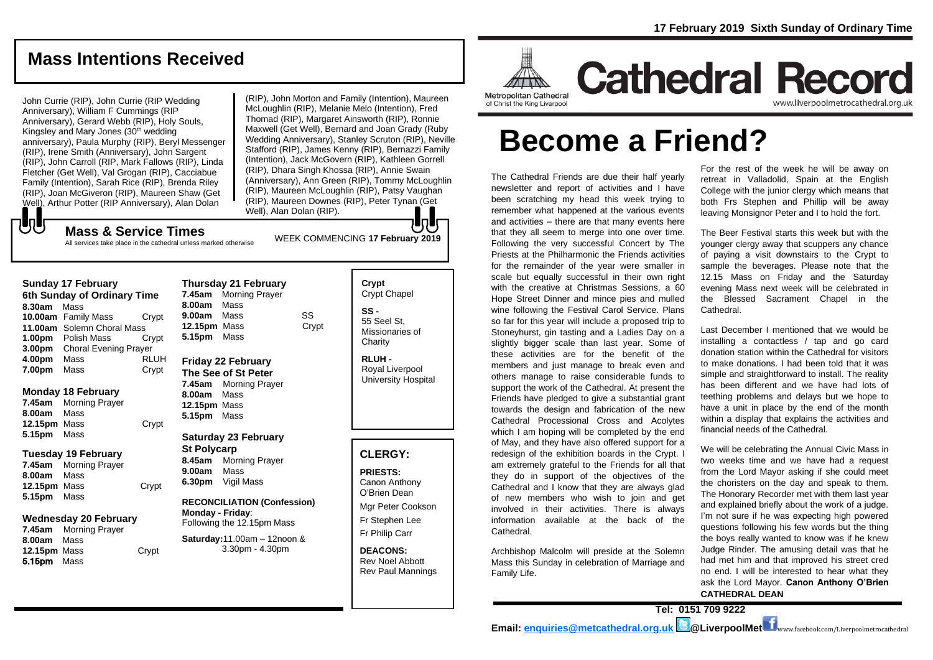# **Mass Intentions Received**

John Currie (RIP), John Currie (RIP Wedding Anniversary), William F Cummings (RIP Anniversary), Gerard Webb (RIP), Holy Souls, Kingsley and Mary Jones  $(30<sup>th</sup>$  wedding anniversary), Paula Murphy (RIP), Beryl Messenger (RIP), Irene Smith (Anniversary), John Sargent (RIP), John Carroll (RIP, Mark Fallows (RIP), Linda Fletcher (Get Well), Val Grogan (RIP), Cacciabue Family (Intention), Sarah Rice (RIP), Brenda Riley (RIP), Joan McGiveron (RIP), Maureen Shaw (Get Well), Arthur Potter (RIP Anniversary), Alan Dolan

(RIP), John Morton and Family (Intention), Maureen McLoughlin (RIP), Melanie Melo (Intention), Fred Thomad (RIP), Margaret Ainsworth (RIP), Ronnie Maxwell (Get Well), Bernard and Joan Grady (Ruby Wedding Anniversary), Stanley Scruton (RIP), Neville Stafford (RIP), James Kenny (RIP), Bernazzi Family (Intention), Jack McGovern (RIP), Kathleen Gorrell (RIP), Dhara Singh Khossa (RIP), Annie Swain (Anniversary), Ann Green (RIP), Tommy McLoughlin (RIP), Maureen McLoughlin (RIP), Patsy Vaughan (RIP), Maureen Downes (RIP), Peter Tynan (Get Well), Alan Dolan (RIP). lo H

# WEEK COMMENCING **<sup>17</sup> February <sup>2019</sup> Mass & Service Times**

All services take place in the cathedral unless marked otherwise

#### **Sunday 17 February**

もし

|        | 6th Sunday of Ordinary Time  |             |
|--------|------------------------------|-------------|
| 8.30am | Mass                         |             |
|        | 10.00am Family Mass          | Crypt       |
|        | 11.00am Solemn Choral Mass   |             |
|        | <b>1.00pm</b> Polish Mass    | Crvpt       |
| 3.00pm | <b>Choral Evening Prayer</b> |             |
| 4.00pm | Mass                         | <b>RLUH</b> |
| 7.00pm | Mass                         | Crypt       |

#### **Monday 18 February**

**7.45am** Morning Prayer **8.00am** Mass **12.15pm** Mass Crypt **5.15pm** Mass

#### **Tuesday 19 February**

**7.45am** Morning Prayer **8.00am** Mass **12.15pm** Mass Crypt **5.15pm** Mass

## **Wednesday 20 February**

**7.45am** Morning Prayer **8.00am** Mass **12.15pm** Mass Crypt 5.15pm Mass

**Thursday 21 February 7.45am** Morning Prayer **8.00am** Mass **9.00am** Mass SS **12.15pm** Mass Crypt **5.15pm** Mass

#### **Friday 22 February The See of St Peter 7.45am** Morning Prayer **8.00am** Mass **12.15pm** Mass **5.15pm** Mass

**Saturday 23 February St Polycarp 8.45am** Morning Prayer **9.00am** Mass **6.30pm** Vigil Mass

#### **RECONCILIATION (Confession) Monday - Friday**:

Following the 12.15pm Mass **Saturday:**11.00am – 12noon & 3.30pm - 4.30pm

## **Crypt**  Crypt Chapel **SS -** 55 Seel St, Missionaries of **Charity**

**RLUH -** Royal Liverpool University Hospital

# **CLERGY:**

**PRIESTS:** Canon Anthony O'Brien *Dean*

Mgr Peter Cookson Fr Stephen Lee Fr Philip Carr

**DEACONS:** Rev Noel Abbott Rev Paul Mannings



# **Cathedral Record** www.liverpoolmetrocathedral.org.ul

of Christ the King Liverpool

# **Become a Friend?**

The Cathedral Friends are due their half yearly newsletter and report of activities and I have been scratching my head this week trying to remember what happened at the various events and activities – there are that many events here that they all seem to merge into one over time. Following the very successful Concert by The Priests at the Philharmonic the Friends activities for the remainder of the year were smaller in scale but equally successful in their own right with the creative at Christmas Sessions, a 60 Hope Street Dinner and mince pies and mulled wine following the Festival Carol Service. Plans so far for this year will include a proposed trip to Stoneyhurst, gin tasting and a Ladies Day on a slightly bigger scale than last year. Some of these activities are for the benefit of the members and just manage to break even and others manage to raise considerable funds to support the work of the Cathedral. At present the Friends have pledged to give a substantial grant towards the design and fabrication of the new Cathedral Processional Cross and Acolytes which I am hoping will be completed by the end of May, and they have also offered support for a redesign of the exhibition boards in the Crypt. I am extremely grateful to the Friends for all that they do in support of the objectives of the Cathedral and I know that they are always glad of new members who wish to join and get involved in their activities. There is always information available at the back of the Cathedral.

Archbishop Malcolm will preside at the Solemn Mass this Sunday in celebration of Marriage and Family Life.

For the rest of the week he will be away on retreat in Valladolid, Spain at the English College with the junior clergy which means that both Frs Stephen and Phillip will be away leaving Monsignor Peter and I to hold the fort.

The Beer Festival starts this week but with the younger clergy away that scuppers any chance of paying a visit downstairs to the Crypt to sample the beverages. Please note that the 12.15 Mass on Friday and the Saturday evening Mass next week will be celebrated in the Blessed Sacrament Chapel in the Cathedral.

Last December I mentioned that we would be installing a contactless / tap and go card donation station within the Cathedral for visitors to make donations. I had been told that it was simple and straightforward to install. The reality has been different and we have had lots of teething problems and delays but we hope to have a unit in place by the end of the month within a display that explains the activities and financial needs of the Cathedral.

We will be celebrating the Annual Civic Mass in two weeks time and we have had a request from the Lord Mayor asking if she could meet the choristers on the day and speak to them. The Honorary Recorder met with them last year and explained briefly about the work of a judge. I'm not sure if he was expecting high powered questions following his few words but the thing the boys really wanted to know was if he knew Judge Rinder. The amusing detail was that he had met him and that improved his street cred no end. I will be interested to hear what they ask the Lord Mayor. **Canon Anthony O'Brien CATHEDRAL DEAN**

**Tel: 0151 709 9222**